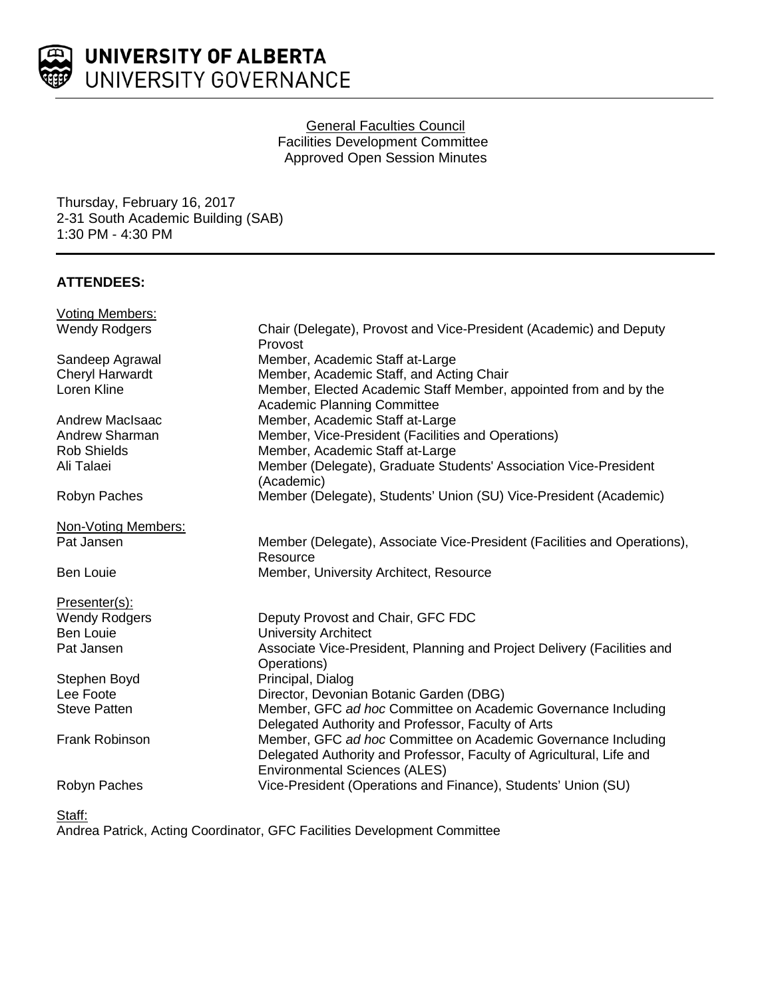

# General Faculties Council Facilities Development Committee Approved Open Session Minutes

Thursday, February 16, 2017 2-31 South Academic Building (SAB) 1:30 PM - 4:30 PM

# **ATTENDEES:**

| <b>Voting Members:</b> |                                                                                                                                                                               |
|------------------------|-------------------------------------------------------------------------------------------------------------------------------------------------------------------------------|
| <b>Wendy Rodgers</b>   | Chair (Delegate), Provost and Vice-President (Academic) and Deputy<br>Provost                                                                                                 |
| Sandeep Agrawal        | Member, Academic Staff at-Large                                                                                                                                               |
| Cheryl Harwardt        | Member, Academic Staff, and Acting Chair                                                                                                                                      |
| Loren Kline            | Member, Elected Academic Staff Member, appointed from and by the<br>Academic Planning Committee                                                                               |
| Andrew MacIsaac        | Member, Academic Staff at-Large                                                                                                                                               |
| <b>Andrew Sharman</b>  | Member, Vice-President (Facilities and Operations)                                                                                                                            |
| <b>Rob Shields</b>     | Member, Academic Staff at-Large                                                                                                                                               |
| Ali Talaei             | Member (Delegate), Graduate Students' Association Vice-President<br>(Academic)                                                                                                |
| Robyn Paches           | Member (Delegate), Students' Union (SU) Vice-President (Academic)                                                                                                             |
| Non-Voting Members:    |                                                                                                                                                                               |
| Pat Jansen             | Member (Delegate), Associate Vice-President (Facilities and Operations),<br>Resource                                                                                          |
| <b>Ben Louie</b>       | Member, University Architect, Resource                                                                                                                                        |
| Presenter(s):          |                                                                                                                                                                               |
| <b>Wendy Rodgers</b>   | Deputy Provost and Chair, GFC FDC                                                                                                                                             |
| <b>Ben Louie</b>       | <b>University Architect</b>                                                                                                                                                   |
| Pat Jansen             | Associate Vice-President, Planning and Project Delivery (Facilities and<br>Operations)                                                                                        |
| Stephen Boyd           | Principal, Dialog                                                                                                                                                             |
| Lee Foote              | Director, Devonian Botanic Garden (DBG)                                                                                                                                       |
| <b>Steve Patten</b>    | Member, GFC ad hoc Committee on Academic Governance Including<br>Delegated Authority and Professor, Faculty of Arts                                                           |
| <b>Frank Robinson</b>  | Member, GFC ad hoc Committee on Academic Governance Including<br>Delegated Authority and Professor, Faculty of Agricultural, Life and<br><b>Environmental Sciences (ALES)</b> |
| Robyn Paches           | Vice-President (Operations and Finance), Students' Union (SU)                                                                                                                 |

Staff:

Andrea Patrick, Acting Coordinator, GFC Facilities Development Committee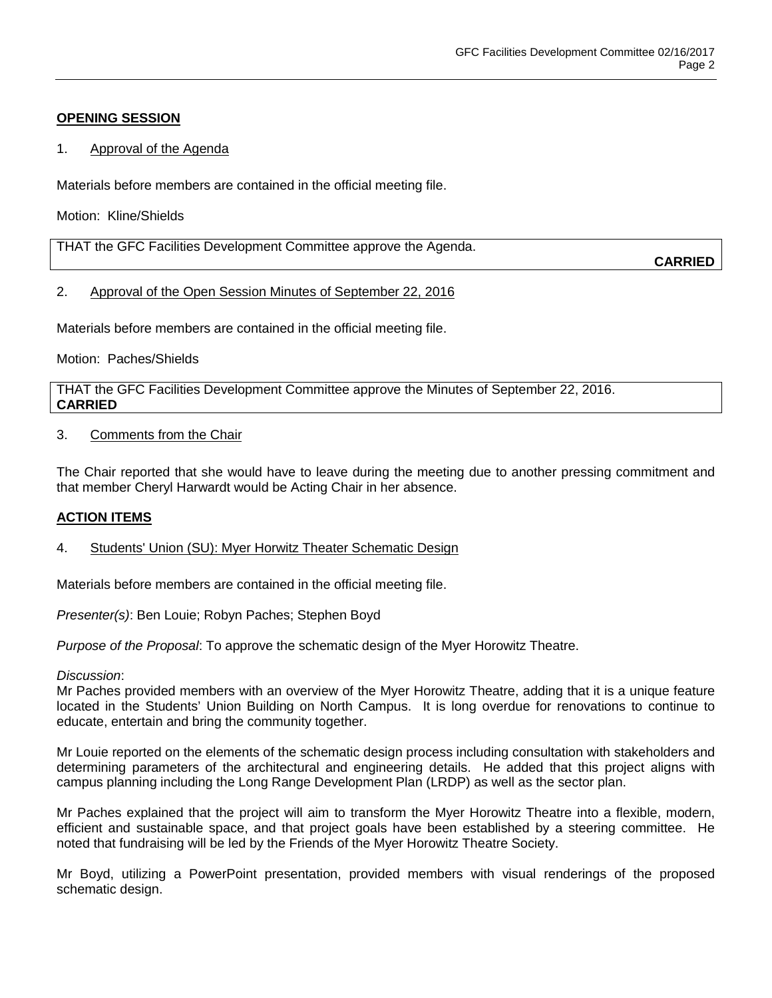# **OPENING SESSION**

## 1. Approval of the Agenda

Materials before members are contained in the official meeting file.

Motion: Kline/Shields

| THAT the GFC Facilities Development Committee approve the Agenda. |               |
|-------------------------------------------------------------------|---------------|
|                                                                   | <b>CARRIE</b> |

### 2. Approval of the Open Session Minutes of September 22, 2016

Materials before members are contained in the official meeting file.

Motion: Paches/Shields

THAT the GFC Facilities Development Committee approve the Minutes of September 22, 2016. **CARRIED**

### 3. Comments from the Chair

The Chair reported that she would have to leave during the meeting due to another pressing commitment and that member Cheryl Harwardt would be Acting Chair in her absence.

## **ACTION ITEMS**

4. Students' Union (SU): Myer Horwitz Theater Schematic Design

Materials before members are contained in the official meeting file.

*Presenter(s)*: Ben Louie; Robyn Paches; Stephen Boyd

*Purpose of the Proposal*: To approve the schematic design of the Myer Horowitz Theatre.

#### *Discussion*:

Mr Paches provided members with an overview of the Myer Horowitz Theatre, adding that it is a unique feature located in the Students' Union Building on North Campus. It is long overdue for renovations to continue to educate, entertain and bring the community together.

Mr Louie reported on the elements of the schematic design process including consultation with stakeholders and determining parameters of the architectural and engineering details. He added that this project aligns with campus planning including the Long Range Development Plan (LRDP) as well as the sector plan.

Mr Paches explained that the project will aim to transform the Myer Horowitz Theatre into a flexible, modern, efficient and sustainable space, and that project goals have been established by a steering committee. He noted that fundraising will be led by the Friends of the Myer Horowitz Theatre Society.

Mr Boyd, utilizing a PowerPoint presentation, provided members with visual renderings of the proposed schematic design.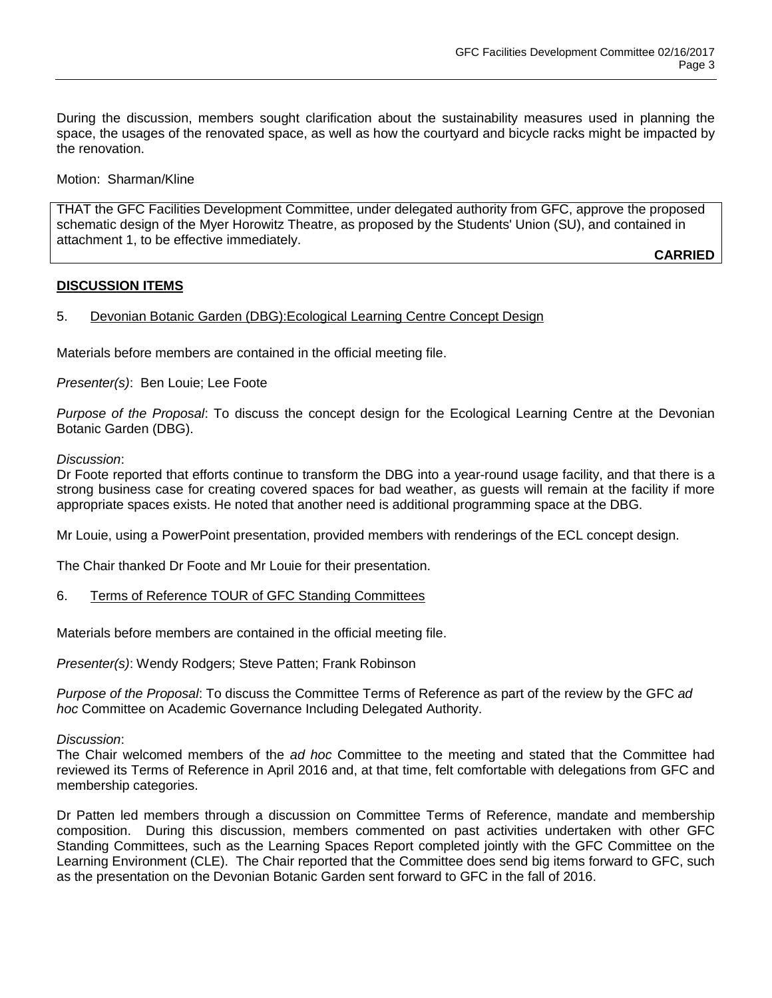During the discussion, members sought clarification about the sustainability measures used in planning the space, the usages of the renovated space, as well as how the courtyard and bicycle racks might be impacted by the renovation.

Motion: Sharman/Kline

THAT the GFC Facilities Development Committee, under delegated authority from GFC, approve the proposed schematic design of the Myer Horowitz Theatre, as proposed by the Students' Union (SU), and contained in attachment 1, to be effective immediately.

**CARRIED**

## **DISCUSSION ITEMS**

# 5. Devonian Botanic Garden (DBG): Ecological Learning Centre Concept Design

Materials before members are contained in the official meeting file.

*Presenter(s)*: Ben Louie; Lee Foote

*Purpose of the Proposal*: To discuss the concept design for the Ecological Learning Centre at the Devonian Botanic Garden (DBG).

#### *Discussion*:

Dr Foote reported that efforts continue to transform the DBG into a year-round usage facility, and that there is a strong business case for creating covered spaces for bad weather, as guests will remain at the facility if more appropriate spaces exists. He noted that another need is additional programming space at the DBG.

Mr Louie, using a PowerPoint presentation, provided members with renderings of the ECL concept design.

The Chair thanked Dr Foote and Mr Louie for their presentation.

6. Terms of Reference TOUR of GFC Standing Committees

Materials before members are contained in the official meeting file.

*Presenter(s)*: Wendy Rodgers; Steve Patten; Frank Robinson

*Purpose of the Proposal*: To discuss the Committee Terms of Reference as part of the review by the GFC *ad hoc* Committee on Academic Governance Including Delegated Authority.

#### *Discussion*:

The Chair welcomed members of the *ad hoc* Committee to the meeting and stated that the Committee had reviewed its Terms of Reference in April 2016 and, at that time, felt comfortable with delegations from GFC and membership categories.

Dr Patten led members through a discussion on Committee Terms of Reference, mandate and membership composition. During this discussion, members commented on past activities undertaken with other GFC Standing Committees, such as the Learning Spaces Report completed jointly with the GFC Committee on the Learning Environment (CLE). The Chair reported that the Committee does send big items forward to GFC, such as the presentation on the Devonian Botanic Garden sent forward to GFC in the fall of 2016.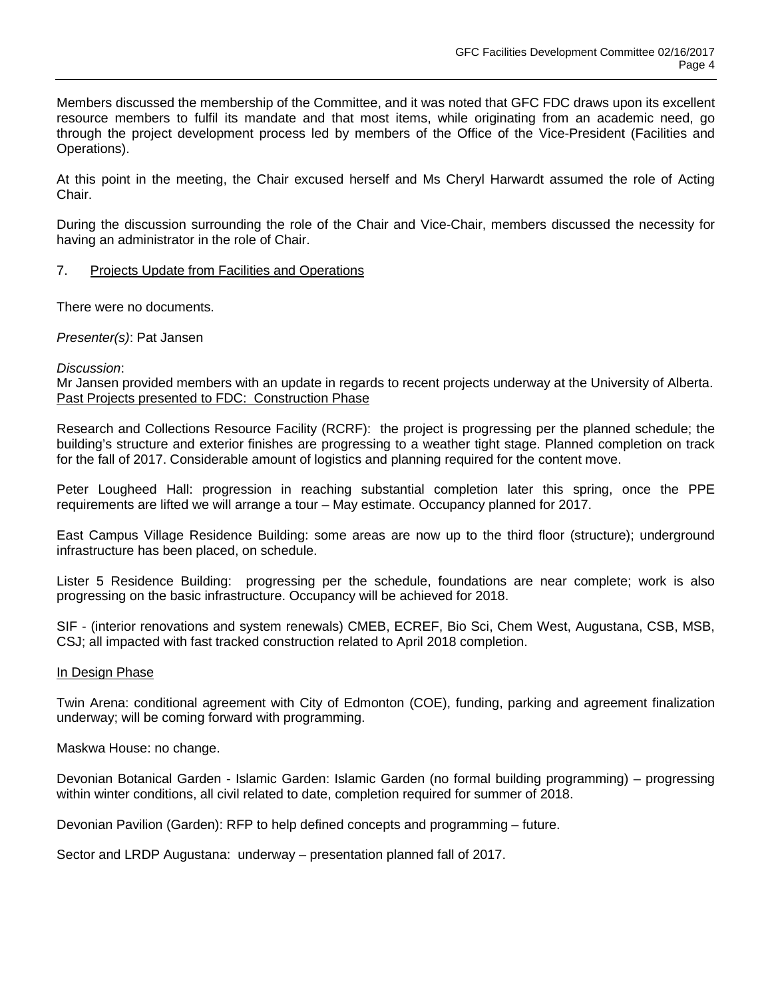Members discussed the membership of the Committee, and it was noted that GFC FDC draws upon its excellent resource members to fulfil its mandate and that most items, while originating from an academic need, go through the project development process led by members of the Office of the Vice-President (Facilities and Operations).

At this point in the meeting, the Chair excused herself and Ms Cheryl Harwardt assumed the role of Acting Chair.

During the discussion surrounding the role of the Chair and Vice-Chair, members discussed the necessity for having an administrator in the role of Chair.

7. Projects Update from Facilities and Operations

There were no documents.

*Presenter(s)*: Pat Jansen

#### *Discussion*:

Mr Jansen provided members with an update in regards to recent projects underway at the University of Alberta. Past Projects presented to FDC: Construction Phase

Research and Collections Resource Facility (RCRF): the project is progressing per the planned schedule; the building's structure and exterior finishes are progressing to a weather tight stage. Planned completion on track for the fall of 2017. Considerable amount of logistics and planning required for the content move.

Peter Lougheed Hall: progression in reaching substantial completion later this spring, once the PPE requirements are lifted we will arrange a tour – May estimate. Occupancy planned for 2017.

East Campus Village Residence Building: some areas are now up to the third floor (structure); underground infrastructure has been placed, on schedule.

Lister 5 Residence Building: progressing per the schedule, foundations are near complete; work is also progressing on the basic infrastructure. Occupancy will be achieved for 2018.

SIF - (interior renovations and system renewals) CMEB, ECREF, Bio Sci, Chem West, Augustana, CSB, MSB, CSJ; all impacted with fast tracked construction related to April 2018 completion.

#### In Design Phase

Twin Arena: conditional agreement with City of Edmonton (COE), funding, parking and agreement finalization underway; will be coming forward with programming.

Maskwa House: no change.

Devonian Botanical Garden - Islamic Garden: Islamic Garden (no formal building programming) – progressing within winter conditions, all civil related to date, completion required for summer of 2018.

Devonian Pavilion (Garden): RFP to help defined concepts and programming – future.

Sector and LRDP Augustana: underway – presentation planned fall of 2017.